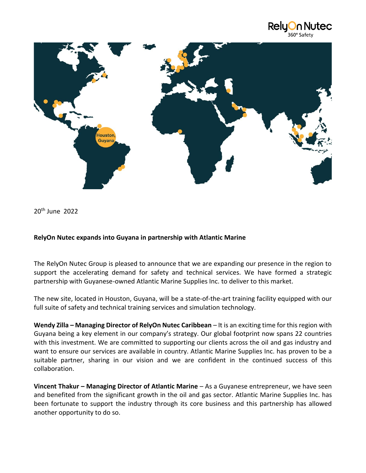



20th June 2022

## **RelyOn Nutec expands into Guyana in partnership with Atlantic Marine**

The RelyOn Nutec Group is pleased to announce that we are expanding our presence in the region to support the accelerating demand for safety and technical services. We have formed a strategic partnership with Guyanese-owned Atlantic Marine Supplies Inc. to deliver to this market.

The new site, located in Houston, Guyana, will be a state-of-the-art training facility equipped with our full suite of safety and technical training services and simulation technology.

**Wendy Zilla – Managing Director of RelyOn Nutec Caribbean** – It is an exciting time for this region with Guyana being a key element in our company's strategy. Our global footprint now spans 22 countries with this investment. We are committed to supporting our clients across the oil and gas industry and want to ensure our services are available in country. Atlantic Marine Supplies Inc. has proven to be a suitable partner, sharing in our vision and we are confident in the continued success of this collaboration.

**Vincent Thakur – Managing Director of Atlantic Marine** – As a Guyanese entrepreneur, we have seen and benefited from the significant growth in the oil and gas sector. Atlantic Marine Supplies Inc. has been fortunate to support the industry through its core business and this partnership has allowed another opportunity to do so.